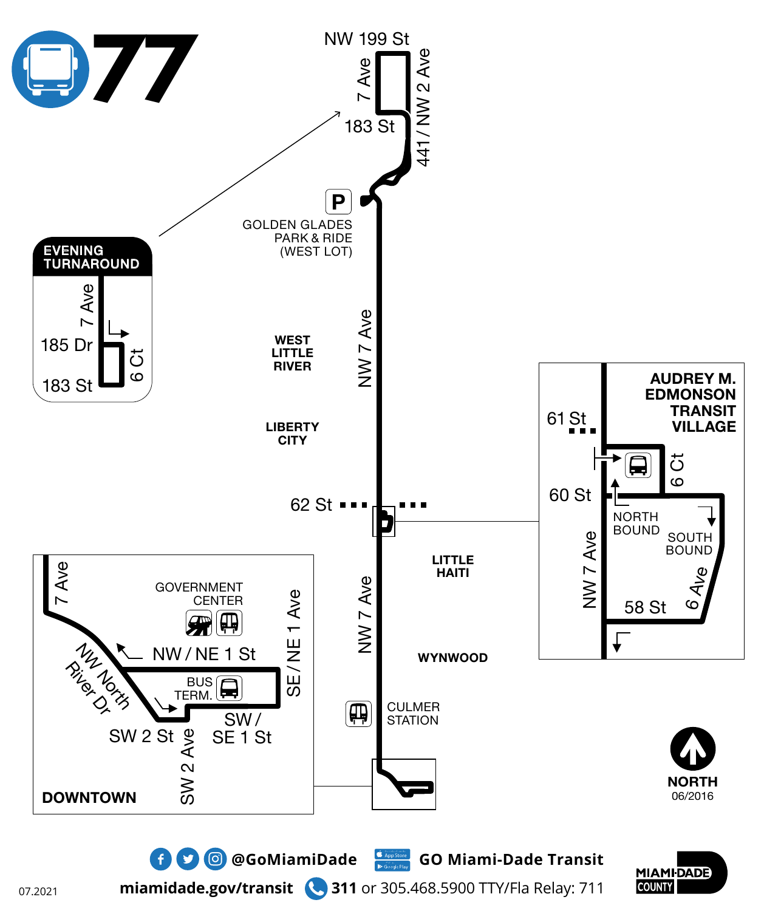

**miamidade.gov/transit 311** or 305.468.5900 TTY/Fla Relay: 711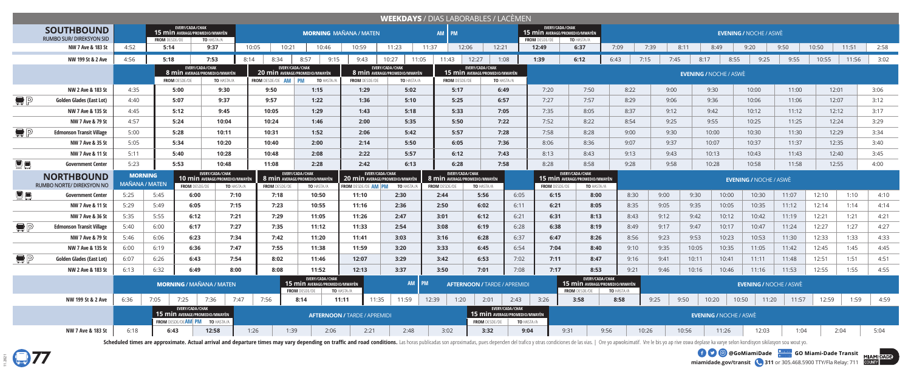

**miamidade.gov/transit 311** or 305.468.5900 TTY/Fla Relay: 711 **EXAMPLE OF A GOOG COMIAMIDAde COMIAMI-Dade Transit** 

| <b>WEEKDAYS</b> / DIAS LABORABLES / LACÈMEN |                                                      |                                                                                                                      |                                                    |                                                                                                     |                   |                                  |                                                                                           |                                                                                        |                                                                       |                                                       |                                                        |                               |                                                                           |                                                                           |                               |              |       |                               |                               |                |       |               |      |  |
|---------------------------------------------|------------------------------------------------------|----------------------------------------------------------------------------------------------------------------------|----------------------------------------------------|-----------------------------------------------------------------------------------------------------|-------------------|----------------------------------|-------------------------------------------------------------------------------------------|----------------------------------------------------------------------------------------|-----------------------------------------------------------------------|-------------------------------------------------------|--------------------------------------------------------|-------------------------------|---------------------------------------------------------------------------|---------------------------------------------------------------------------|-------------------------------|--------------|-------|-------------------------------|-------------------------------|----------------|-------|---------------|------|--|
|                                             | <b>SOUTHBOUND</b><br><b>RUMBO SUR/ DIREKSYON SID</b> |                                                                                                                      |                                                    | EVERY/CADA/CHAK<br>15 min Average/Promedio/MWAYÈN                                                   |                   |                                  |                                                                                           | <b>MORNING MAÑANA / MATEN</b>                                                          |                                                                       | AM PM                                                 |                                                        |                               | EVERY/CADA/CHAK<br>15 min AVERAGE/PROMEDIO/MWAYÈN<br><b>FROM DESDE/DE</b> | TO HASTA/A                                                                | <b>EVENING / NOCHE / ASWE</b> |              |       |                               |                               |                |       |               |      |  |
|                                             | NW 7 Ave & 183 St                                    | 4:52                                                                                                                 | <b>FROM DESDE/DE</b><br>TO HASTA/A<br>9:37<br>5:14 |                                                                                                     |                   | 10:05<br>10:21<br>10:46<br>10:59 |                                                                                           | 11:23                                                                                  | 11:37<br>12:06                                                        |                                                       | 12:21                                                  | 12:49                         | 6:37                                                                      | 7:09                                                                      | 7:39                          | 8:11         | 8:49  | 9:20                          | 9:50                          | 10:50          | 11:51 | 2:58          |      |  |
|                                             | NW 199 St & 2 Ave                                    | 4:56                                                                                                                 | 5:18<br>7:53                                       |                                                                                                     |                   | 8:34<br>8:14                     | 8:57<br>9:15                                                                              | 9:43                                                                                   | 10:27<br>11:05                                                        | 11:43                                                 | 12:27                                                  | 1:08                          | 1:39                                                                      | 6:12                                                                      | 6:43                          | 7:15<br>7:45 | 8:17  | 8:55                          | 9:25                          | 9:55           | 10:55 | 11:56         | 3:02 |  |
|                                             |                                                      |                                                                                                                      | <b>FROM DESDE/DE</b>                               | EVERY/CADA/CHAK<br>8 min Average/Promedio/MWAYÈN                                                    | TO HASTA/A        | <b>FROM DESDE/DE AM</b>          | EVERY/CADA/CHAK<br><b>20 min AVERAGE/PROMEDIO/MWAYEN</b><br><b>PM</b><br><b>TO HASTA/</b> | <b>FROM</b> DESDE/DE                                                                   | EVERY/CADA/CHAK<br><b>8 min AVERAGE/PROMEDIO/MWAYÈN</b><br>TO HASTA/A | <b>FROM DESDE/DE</b>                                  | EVERY/CADA/CHAK<br>15 min Average/Promedio/MWAYÈN      | TO HASTA/A                    |                                                                           |                                                                           |                               |              |       | <b>EVENING / NOCHE / ASWE</b> |                               |                |       |               |      |  |
|                                             | NW 2 Ave & 183 St                                    | 4:35                                                                                                                 |                                                    | 5:00<br>9:30                                                                                        |                   | 9:50                             | 1:15                                                                                      |                                                                                        | 5:02                                                                  | 5:17                                                  |                                                        | 6:49                          | 7:20                                                                      | 7:50                                                                      | 8:22                          | 9:00         |       | 9:30                          | 10:00                         | 11:00          | 12:01 |               | 3:06 |  |
| $\blacksquare$ $\blacksquare$               | Golden Glades (East Lot)                             | 4:40                                                                                                                 |                                                    | 5:07<br>9:37                                                                                        |                   | 9:57                             | 1:22                                                                                      |                                                                                        | 5:10                                                                  | 5:25                                                  |                                                        | 6:57                          | 7:27                                                                      | 7:57                                                                      | 8:29                          | 9:06         |       | 9:36                          | 10:06                         | 11:06          |       | 3:12<br>12:07 |      |  |
|                                             | NW 7 Ave & 135 St                                    | 4:45                                                                                                                 |                                                    | 5:12<br>9:45                                                                                        |                   | 1:29<br>10:05                    |                                                                                           | 1:43<br>5:18                                                                           |                                                                       | 5:33                                                  |                                                        | 7:05                          | 7:35                                                                      | 8:05                                                                      | 8:37                          | 9:12         |       | 9:42                          | 10:12                         | 11:12          | 12:12 |               | 3:17 |  |
|                                             | NW 7 Ave & 79 St                                     | 4:57                                                                                                                 |                                                    | 5:24<br>10:04                                                                                       |                   | 10:24                            | 1:46                                                                                      |                                                                                        | 2:00<br>5:35                                                          |                                                       | 5:50                                                   | 7:22                          | 7:52                                                                      | 8:22                                                                      | 8:54                          | 9:25         |       | 9:55                          | 10:25                         | 11:25          | 12:24 |               | 3:29 |  |
| $\blacksquare$ $\blacksquare$               | <b>Edmonson Transit Village</b>                      | 5:00                                                                                                                 |                                                    | 5:28<br>10:11                                                                                       |                   | 10:31                            | 1:52                                                                                      |                                                                                        | 5:42                                                                  | 5:57                                                  |                                                        | 7:28                          | 7:58                                                                      | 8:28                                                                      |                               | 9:30         |       | 10:00                         | 10:30                         | 11:30<br>12:29 |       |               | 3:34 |  |
|                                             | NW 7 Ave & 35 St                                     | 5:05                                                                                                                 |                                                    | 5:34<br>10:20                                                                                       |                   | 10:40<br>2:00                    |                                                                                           | 2:14                                                                                   | 5:50                                                                  |                                                       | 6:05                                                   | 7:36                          | 8:06<br>8:36                                                              |                                                                           | 9:07                          | 9:37         |       | 10:07                         | 10:37                         | 11:37<br>12:35 |       |               | 3:40 |  |
|                                             | NW 7 Ave & 11 St                                     | 5:11                                                                                                                 |                                                    | 5:40<br>10:28                                                                                       |                   | 10:48                            | 2:08<br>2:22                                                                              |                                                                                        | 5:57                                                                  | 6:12                                                  |                                                        | 7:43                          | 8:13                                                                      | 8:43                                                                      | 9:13                          | 9:43         |       | 10:43<br>10:13                |                               | 11:43<br>12:40 |       |               | 3:45 |  |
| 夏日                                          | <b>Government Center</b>                             | 5:23                                                                                                                 | 5:53                                               |                                                                                                     | 10:48             | 11:08                            | 2:28                                                                                      | 2:42                                                                                   | 6:13                                                                  | 6:28                                                  |                                                        | 7:58                          | 8:28                                                                      | 8:58                                                                      | 9:28                          | 9:58         |       | 10:28                         | 10:58                         | 11:58          | 12:55 |               | 4:00 |  |
|                                             | <b>NORTHBOUND</b><br>RUMBO NORTE/ DIREKSYON NO       | EVERY/CADA/CHAK<br><b>MORNING</b><br><b>10 min AVERAGE/PROMEDIO/MWAYÈN</b><br><b>MAÑANA / MATEN</b><br>FROM DESDE/DE |                                                    |                                                                                                     | <b>TO HASTA/A</b> | <b>FROM DESDE/DE</b>             | EVERY/CADA/CHAK<br>8 min AVERAGE/PROMEDIO/MWAYER<br>TO HASTA/A                            | EVERY/CADA/CHAK<br><b>20 min</b> AVERAGE/PROMEDIO/MWAYÈN<br><b>FROM DESDE/DE AM PM</b> | TO HASTA.                                                             | 8 min AVERAGE/PROMEDIO/MWAYÈN<br><b>FROM DESDE/DE</b> | EVERY/CADA/CHAK<br>TO HASTA/A                          |                               | <b>FROM DESDE/DE</b>                                                      | EVERY/CADA/CHAK<br>15 min AVERAGE/PROMEDIO/MWAYÈN<br><b>TO HASTA/A</b>    |                               |              |       |                               | <b>EVENING / NOCHE / ASWÈ</b> |                |       |               |      |  |
| <b>De</b>                                   | Government Center                                    | 5:25                                                                                                                 | 5:45                                               | 6:00                                                                                                | 7:10              | 7:18                             | 10:50                                                                                     | 11:10                                                                                  | 2:30                                                                  | 2:44                                                  | 5:56                                                   | 6:05                          | 6:15                                                                      | 8:00                                                                      | 8:30                          | 9:00         | 9:30  | 10:00                         | 10:30                         | 11:07          | 12:10 | 1:10          | 4:10 |  |
|                                             | NW 7 Ave & 11 St                                     | 5:29                                                                                                                 | 5:49                                               | 6:05                                                                                                | 7:15              | 7:23                             | 10:55                                                                                     | 11:16                                                                                  | 2:36                                                                  | 2:50                                                  | 6:02                                                   | 6:11                          | 6:21                                                                      | 8:05                                                                      | 8:35                          | 9:05         | 9:35  | 10:05                         | 10:35                         | 11:12          | 12:14 | 1:14          | 4:14 |  |
|                                             | NW 7 Ave & 36 St                                     | 5:35                                                                                                                 | 5:55                                               | 6:12                                                                                                | 7:21              | 7:29                             | 11:05                                                                                     | 11:26                                                                                  | 2:47                                                                  | 3:01                                                  | 6:12                                                   | 6:21                          | 6:31                                                                      | 8:13                                                                      | 8:43                          | 9:12         | 9:42  | 10:12                         | 10:42                         | 11:19          | 12:21 | 1:21          | 4:21 |  |
| $\bigoplus$ $\bigoplus$                     | <b>Edmonson Transit Village</b>                      | 5:40                                                                                                                 | 6:00                                               | 6:17                                                                                                | 7:27              | 7:35                             | 11:12                                                                                     | 11:33                                                                                  | 2:54                                                                  | 3:08                                                  | 6:19                                                   | 6:28                          | 6:38                                                                      | 8:19                                                                      | 8:49                          | 9:17         | 9:47  | 10:17                         | 10:47                         | 11:24          | 12:27 | 1:27          | 4:27 |  |
|                                             | NW 7 Ave & 79 St                                     | 5:46                                                                                                                 | 6:06                                               | 6:23                                                                                                | 7:34              | 7:42                             | 11:20                                                                                     | 11:41                                                                                  | 3:03                                                                  | 3:16                                                  | 6:28                                                   | 6:37                          | 6:47                                                                      | 8:26                                                                      | 8:56                          | 9:23         | 9:53  | 10:23                         | 10:53                         | 11:30          | 12:33 | 1:33          | 4:33 |  |
|                                             | NW 7 Ave & 135 St                                    | 6:00                                                                                                                 | 6:19                                               | 6:36                                                                                                | 7:47              | 7:55                             | 11:38                                                                                     | 11:59                                                                                  | 3:20                                                                  | 3:33                                                  | 6:45                                                   | 6:54                          | 7:04                                                                      | 8:40                                                                      | 9:10                          | 9:35         | 10:05 | 10:35                         | 11:05                         | 11:42          | 12:45 | 1:45          | 4:45 |  |
| $\blacksquare$ $\blacksquare$               | <b>Golden Glades (East Lot)</b>                      | 6:07                                                                                                                 | 6:26                                               | 6:43                                                                                                | 7:54              | 8:02                             | 11:46                                                                                     | 12:07                                                                                  | 3:29                                                                  | 3:42                                                  | 6:53                                                   | 7:02                          | 7:11                                                                      | 8:47                                                                      | 9:16                          | 9:41         | 10:11 | 10:41                         | 11:11                         | 11:48          | 12:51 | 1:51          | 4:51 |  |
|                                             | NW 2 Ave & 183 St                                    | 6:13                                                                                                                 | 6:32                                               | 6:49                                                                                                | 8:00              | 8:08                             | 11:52                                                                                     | 12:13                                                                                  | 3:37                                                                  | 3:50                                                  | 7:01                                                   | 7:08                          | 7:17                                                                      | 8:53                                                                      | 9:21                          | 9:46         | 10:16 | 10:46                         | 11:16                         | 11:53          | 12:55 | 1:55          | 4:55 |  |
|                                             |                                                      |                                                                                                                      |                                                    |                                                                                                     |                   |                                  |                                                                                           |                                                                                        |                                                                       |                                                       |                                                        |                               |                                                                           |                                                                           | <b>EVENING / NOCHE / ASWÈ</b> |              |       |                               |                               |                |       |               |      |  |
|                                             |                                                      |                                                                                                                      |                                                    | <b>MORNING / MAÑANA / MATEN</b>                                                                     |                   |                                  | EVERY/CADA/CHAK<br><b>15 min AVERAGE/PROMEDIO/MWAYÈN</b><br><b>FROM DESDE/DE</b>          | <b>TO HASTA/A</b>                                                                      | AM                                                                    | <b>PM</b>                                             | <b>AFTERNOON / TARDE / APREMIDI</b>                    |                               |                                                                           | EVERY/CADA/CHAK<br>15 min Average/Promedio/Mwayèn<br><b>FROM DESDE/DE</b> | <b>TO HASTA/A</b>             |              |       |                               |                               |                |       |               |      |  |
|                                             | NW 199 St & 2 Ave                                    | 6:36                                                                                                                 | 7:05                                               | 7:25<br>7:36                                                                                        | 7:47              | 7:56                             | 8:14                                                                                      | 11:35<br>11:11                                                                         | 11:59                                                                 | 12:39<br>1:20                                         | 2:01                                                   | 2:43                          | 3:26                                                                      | 3:58                                                                      | 8:58                          | 9:25         | 9:50  | 10:20                         | 10:50<br>11:20                | 11:57          | 12:59 | 1:59          | 4:59 |  |
|                                             |                                                      |                                                                                                                      |                                                    | EVERY/CADA/CHAK<br>15 min Average/Promedio/Mwayèn<br><b>FROM DESDE/DEAM PM</b><br><b>TO HASTA/A</b> |                   |                                  |                                                                                           | <b>AFTERNOON / TARDE / APREMIDI</b>                                                    |                                                                       |                                                       | 15 min Average/Promedio/Mwayèn<br><b>FROM DESDE/DE</b> | EVERY/CADA/CHAK<br>TO HASTA/A |                                                                           |                                                                           |                               |              |       | <b>EVENING / NOCHE / ASWÈ</b> |                               |                |       |               |      |  |

Scheduled times are approximate. Actual arrival and departure times may vary depending on traffic and road conditions. Las horas publicadas son aproximadas, pues dependen del trafico y otras condiciones de las vias. | Ore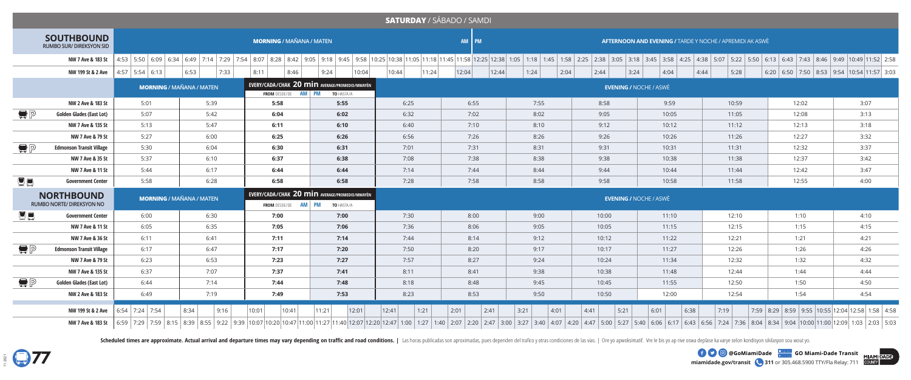

**miamidade.gov/transit 311** or 305.468.5900 TTY/Fla Relay: 711 **EXAMPLE OF A GOOG COMIAMIDAde COMIAMI-Dade Transit** 

| <b>SATURDAY / SÁBADO / SAMDI</b> |                                                |                                                   |               |                                                                                     |                |                 |                 |               |                                                                 |                               |              |                                                                                                                                                                                                                               |      |  |  |  |  |  |  |  |  |
|----------------------------------|------------------------------------------------|---------------------------------------------------|---------------|-------------------------------------------------------------------------------------|----------------|-----------------|-----------------|---------------|-----------------------------------------------------------------|-------------------------------|--------------|-------------------------------------------------------------------------------------------------------------------------------------------------------------------------------------------------------------------------------|------|--|--|--|--|--|--|--|--|
|                                  | <b>SOUTHBOUND</b><br>RUMBO SUR/ DIREKSYON SID  |                                                   |               | <b>MORNING / MAÑANA / MATEN</b>                                                     |                |                 | AM PM           |               | <b>AFTERNOON AND EVENING / TARDE Y NOCHE / APREMIDI AK ASWÈ</b> |                               |              |                                                                                                                                                                                                                               |      |  |  |  |  |  |  |  |  |
|                                  | NW 7 Ave & 183 St                              |                                                   |               |                                                                                     |                |                 |                 |               |                                                                 |                               |              | 4:53   5:50   6:09   6:34   6:43   7:44   7:29   7:54   8:07   8:28   8:42   9:05   9:18   9:45   9:35   10:25   11:05   11:05   11:18   11:58   12:25   12:38   10:25   12:38   3:05   2:38   3:05   3:18   3:45   3:58   4: |      |  |  |  |  |  |  |  |  |
|                                  |                                                | NW 199 St & 2 Ave $\left  4:57 \right  5:54$ 6:13 | 6:53<br> 7:33 | 8:11<br>8:46                                                                        | 10:04<br>9:24  | 10:44<br> 11:24 | 12:04<br> 12:44 | 1:24<br> 2:04 | 2:44<br> 3:24                                                   | 4:04                          | 4:44<br>5:28 | $6:20$ 6:50 7:50 8:53 9:54 10:54 11:57 3:03                                                                                                                                                                                   |      |  |  |  |  |  |  |  |  |
|                                  |                                                | <b>MORNING / MAÑANA / MATEN</b>                   |               | EVERY/CADA/CHAK 20 min AVERAGE/PROMEDIO/MWAYÈN<br><b>FROM</b> DESDE/DE <b>AM PM</b> | TO HASTA/A     |                 |                 |               |                                                                 | <b>EVENING / NOCHE / ASWÈ</b> |              |                                                                                                                                                                                                                               |      |  |  |  |  |  |  |  |  |
|                                  | NW 2 Ave & 183 St                              | 5:01                                              | 5:39          | 5:58                                                                                | 5:55           | 6:25            | 6:55            | 7:55          | 8:58                                                            | 9:59                          | 10:59        | 12:02                                                                                                                                                                                                                         | 3:07 |  |  |  |  |  |  |  |  |
| $\blacksquare$ $\blacksquare$    | <b>Golden Glades (East Lot)</b>                | 5:07                                              | 5:42          | 6:04                                                                                | 6:02           | 6:32            | 7:02            | 8:02          | 9:05                                                            | 10:05                         | 11:05        | 12:08                                                                                                                                                                                                                         | 3:13 |  |  |  |  |  |  |  |  |
|                                  | NW 7 Ave & 135 St                              | 5:13                                              | 5:47          | 6:11                                                                                | 6:10           | 6:40            | 7:10            | 8:10          | 9:12                                                            | 10:12                         | 11:12        | 12:13                                                                                                                                                                                                                         | 3:18 |  |  |  |  |  |  |  |  |
|                                  | NW 7 Ave & 79 St                               | 5:27                                              | 6:00          | 6:25                                                                                | 6:26           | 6:56            | 7:26            | 8:26          | 9:26                                                            | 10:26                         | 11:26        | 12:27                                                                                                                                                                                                                         | 3:32 |  |  |  |  |  |  |  |  |
| $\blacksquare$ $\blacksquare$    | <b>Edmonson Transit Village</b>                | 5:30                                              | 6:04          | 6:30                                                                                | 6:31           | 7:01            | 7:31            | 8:31          | 9:31                                                            | 10:31                         | 11:31        | 12:32                                                                                                                                                                                                                         | 3:37 |  |  |  |  |  |  |  |  |
|                                  | NW 7 Ave & 35 St                               | 5:37                                              | 6:10          | 6:37                                                                                | 6:38           | 7:08            | 7:38            | 8:38          | 9:38                                                            | 10:38                         | 11:38        | 12:37                                                                                                                                                                                                                         | 3:42 |  |  |  |  |  |  |  |  |
|                                  | NW 7 Ave & 11 St                               | 5:44                                              | 6:17          | 6:44                                                                                | 6:44           | 7:14            | 7:44            | 8:44          | 9:44                                                            | 10:44                         | 11:44        | 12:42                                                                                                                                                                                                                         | 3:47 |  |  |  |  |  |  |  |  |
| <b>De</b>                        | <b>Government Center</b>                       | 5:58                                              | 6:28          | 6:58                                                                                | 6:58           | 7:28            | 7:58            | 8:58          | 9:58                                                            | 10:58                         | 11:58        | 12:55                                                                                                                                                                                                                         | 4:00 |  |  |  |  |  |  |  |  |
|                                  | <b>NORTHBOUND</b><br>RUMBO NORTE/ DIREKSYON NO | <b>MORNING / MAÑANA / MATEN</b>                   |               | EVERY/CADA/CHAK 20 min AVERAGE/PROMEDIO/MWAYÈN<br><b>FROM</b> DESDE/DE <b>AM</b> PM | TO HASTA/A     |                 |                 |               |                                                                 | <b>EVENING / NOCHE / ASWÈ</b> |              |                                                                                                                                                                                                                               |      |  |  |  |  |  |  |  |  |
| 夏日                               | <b>Government Center</b>                       | 6:00                                              | 6:30          | 7:00                                                                                | 7:00           | 7:30            | 8:00            | 9:00          | 10:00                                                           | 11:10                         | 12:10        | 1:10                                                                                                                                                                                                                          | 4:10 |  |  |  |  |  |  |  |  |
|                                  | NW 7 Ave & 11 St                               | 6:05                                              | 6:35          | 7:05                                                                                | 7:06           | 7:36            | 8:06            | 9:05          | 10:05                                                           | 11:15                         | 12:15        | 1:15                                                                                                                                                                                                                          | 4:15 |  |  |  |  |  |  |  |  |
|                                  | NW 7 Ave & 36 St                               | 6:11                                              | 6:41          | 7:11                                                                                | 7:14           | 7:44            | 8:14            | 9:12          | 10:12                                                           | 11:22                         | 12:21        | 1:21                                                                                                                                                                                                                          | 4:21 |  |  |  |  |  |  |  |  |
| $\bigoplus$ $\bigoplus$          | <b>Edmonson Transit Village</b>                | 6:17                                              | 6:47          | 7:17                                                                                | 7:20           | 7:50            | 8:20            | 9:17          | 10:17                                                           | 11:27                         | 12:26        | 1:26                                                                                                                                                                                                                          | 4:26 |  |  |  |  |  |  |  |  |
|                                  | NW 7 Ave & 79 St                               | 6:23                                              | 6:53          | 7:23                                                                                | 7:27           | 7:57            | 8:27            | 9:24          | 10:24                                                           | 11:34                         | 12:32        | 1:32                                                                                                                                                                                                                          | 4:32 |  |  |  |  |  |  |  |  |
|                                  | NW 7 Ave & 135 St                              | 6:37                                              | 7:07          | 7:37                                                                                | 7:41           | 8:11            | 8:41            | 9:38          | 10:38                                                           | 11:48                         | 12:44        | 1:44                                                                                                                                                                                                                          | 4:44 |  |  |  |  |  |  |  |  |
| $\bigoplus$ $\bigcap$            | <b>Golden Glades (East Lot)</b>                | 6:44                                              | 7:14          | 7:44                                                                                | 7:48           | 8:18            | 8:48            | 9:45          | 10:45                                                           | 11:55                         | 12:50        | 1:50                                                                                                                                                                                                                          | 4:50 |  |  |  |  |  |  |  |  |
|                                  | NW 2 Ave & 183 St                              | 6:49                                              | 7:19          | 7:49                                                                                | 7:53           | 8:23            | 8:53            | 9:50          | 10:50                                                           | 12:00                         | 12:54        | 1:54                                                                                                                                                                                                                          | 4:54 |  |  |  |  |  |  |  |  |
|                                  | NW 199 St & 2 Ave                              | 6:54 7:24 7:54                                    | 8:34<br>9:16  | 10:41<br>10:01                                                                      | 11:21<br>12:01 | 1:21<br> 12:41  | 2:01<br>2:41    | 3:21<br> 4:01 | 5:21<br>4:41                                                    | 6:01<br>6:38                  | 7:19         | 7:59 8:29 8:59 9:55 10:55 12:04 12:58 1:58 4:58                                                                                                                                                                               |      |  |  |  |  |  |  |  |  |
|                                  |                                                |                                                   |               |                                                                                     |                |                 |                 |               |                                                                 |                               |              | NW 7 Ave & 183 St   6:56   7:29   7:29   7:29   7:39   7:59   8:15   8:39   8:55   9:22   9:39   10:07   10:20   10:47   11:00   11:27   11:00   11:27   1:30   2:07   2:20   2:37   3:00   3:27   3:00   3:27   3:00   3:27  |      |  |  |  |  |  |  |  |  |

Scheduled times are approximate. Actual arrival and departure times may vary depending on traffic and road conditions. | Las horas publicadas son aproximadas, pues dependen del trafico y otras condiciones de las vias. | Or